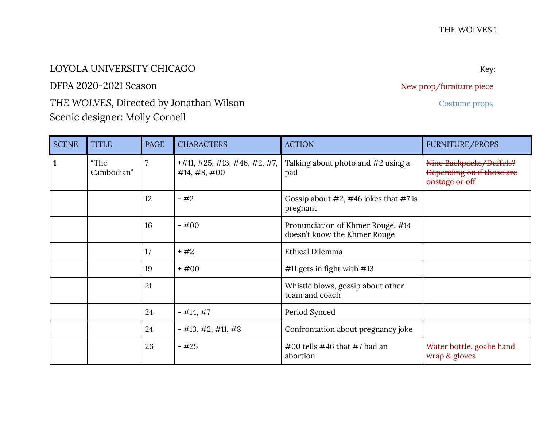## LOYOLA UNIVERSITY CHICAGO Key:

DFPA 2020-2021 Season New prop/furniture piece

## THE WOLVES, Directed by Jonathan Wilson **Costume Props** Costume props Scenic designer: Molly Cornell

SCENE TITLE PAGE CHARACTERS ACTION ACTION FURNITURE/PROPS **1** "The Cambodian"  $7$  +#11, #25, #13, #46, #2, #7, #14, #8, #00 Talking about photo and #2 using a pad Nine Backpacks/Duffels? Depending on if those are onstage or off 12  $\vert - \#2 \vert$  Gossip about #2, #46 jokes that #7 is pregnant 16 - #00 Pronunciation of Khmer Rouge, #14 doesn't know the Khmer Rouge 17 + #2 Ethical Dilemma 19  $+ \#00$   $\#11$  gets in fight with  $\#13$ 21 a U.S. et al. whistle blows, gossip about other team and coach 24 |  $-$  #14, #7 | Period Synced 24 |  $-$  #13, #2, #11, #8 | Confrontation about pregnancy joke 26  $-425$   $+400$  tells #46 that #7 had an abortion Water bottle, goalie hand wrap & gloves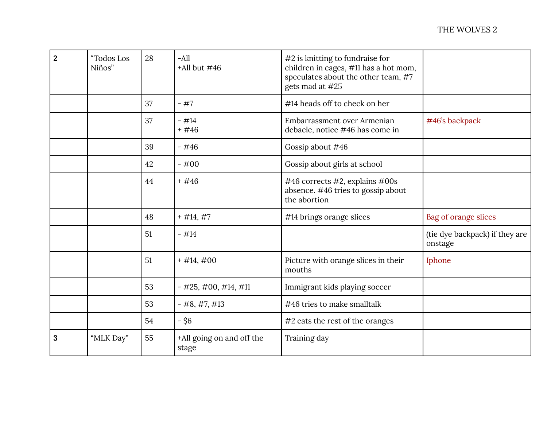| $\overline{2}$ | "Todos Los<br>Niños" | 28 | $-A11$<br>$+$ All but $\#46$       | #2 is knitting to fundraise for<br>children in cages, #11 has a hot mom,<br>speculates about the other team, #7<br>gets mad at #25 |                                           |
|----------------|----------------------|----|------------------------------------|------------------------------------------------------------------------------------------------------------------------------------|-------------------------------------------|
|                |                      | 37 | $-#7$                              | #14 heads off to check on her                                                                                                      |                                           |
|                |                      | 37 | $-$ #14<br>$+#46$                  | Embarrassment over Armenian<br>debacle, notice #46 has come in                                                                     | #46's backpack                            |
|                |                      | 39 | $-#46$                             | Gossip about #46                                                                                                                   |                                           |
|                |                      | 42 | $-#00$                             | Gossip about girls at school                                                                                                       |                                           |
|                |                      | 44 | $+#46$                             | #46 corrects #2, explains #00s<br>absence. #46 tries to gossip about<br>the abortion                                               |                                           |
|                |                      | 48 | $+$ #14, #7                        | #14 brings orange slices                                                                                                           | Bag of orange slices                      |
|                |                      | 51 | $-#14$                             |                                                                                                                                    | (tie dye backpack) if they are<br>onstage |
|                |                      | 51 | $+$ #14,#00                        | Picture with orange slices in their<br>mouths                                                                                      | Iphone                                    |
|                |                      | 53 | $-$ #25, #00, #14, #11             | Immigrant kids playing soccer                                                                                                      |                                           |
|                |                      | 53 | $-$ #8, #7, #13                    | #46 tries to make smalltalk                                                                                                        |                                           |
|                |                      | 54 | $-$ \$6                            | #2 eats the rest of the oranges                                                                                                    |                                           |
| 3              | "MLK Day"            | 55 | +All going on and off the<br>stage | Training day                                                                                                                       |                                           |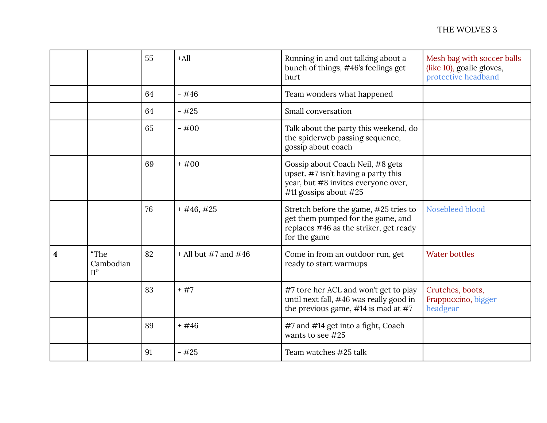|   |                          | 55 | $+A$ ll                | Running in and out talking about a<br>bunch of things, #46's feelings get<br>hurt                                                         | Mesh bag with soccer balls<br>(like 10), goalie gloves,<br>protective headband |
|---|--------------------------|----|------------------------|-------------------------------------------------------------------------------------------------------------------------------------------|--------------------------------------------------------------------------------|
|   |                          | 64 | $-$ #46                | Team wonders what happened                                                                                                                |                                                                                |
|   |                          | 64 | $-#25$                 | Small conversation                                                                                                                        |                                                                                |
|   |                          | 65 | $-#00$                 | Talk about the party this weekend, do<br>the spiderweb passing sequence,<br>gossip about coach                                            |                                                                                |
|   |                          | 69 | $+#00$                 | Gossip about Coach Neil, #8 gets<br>upset. #7 isn't having a party this<br>year, but #8 invites everyone over,<br>#11 gossips about $#25$ |                                                                                |
|   |                          | 76 | $+$ #46, #25           | Stretch before the game, #25 tries to<br>get them pumped for the game, and<br>replaces #46 as the striker, get ready<br>for the game      | Nosebleed blood                                                                |
| 4 | "The<br>Cambodian<br>II" | 82 | $+$ All but #7 and #46 | Come in from an outdoor run, get<br>ready to start warmups                                                                                | <b>Water bottles</b>                                                           |
|   |                          | 83 | $+#7$                  | #7 tore her ACL and won't get to play<br>until next fall, #46 was really good in<br>the previous game, $\#14$ is mad at $\#7$             | Crutches, boots,<br>Frappuccino, bigger<br>headgear                            |
|   |                          | 89 | $+#46$                 | #7 and #14 get into a fight, Coach<br>wants to see #25                                                                                    |                                                                                |
|   |                          | 91 | $-#25$                 | Team watches #25 talk                                                                                                                     |                                                                                |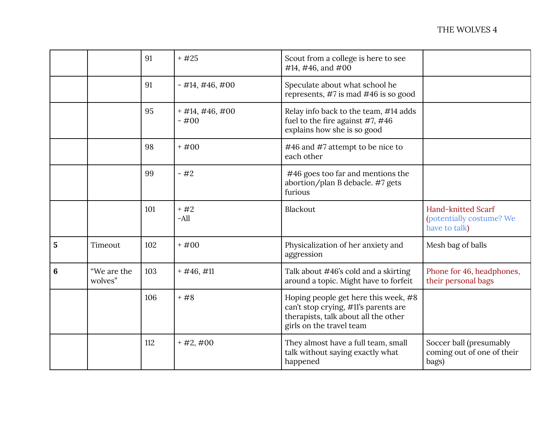|   |                        | 91  | $+#25$                      | Scout from a college is here to see<br>#14, #46, and #00                                                                                         |                                                                        |
|---|------------------------|-----|-----------------------------|--------------------------------------------------------------------------------------------------------------------------------------------------|------------------------------------------------------------------------|
|   |                        | 91  | $-$ #14, #46, #00           | Speculate about what school he<br>represents, #7 is mad #46 is so good                                                                           |                                                                        |
|   |                        | 95  | $+$ #14, #46, #00<br>$-#00$ | Relay info back to the team, #14 adds<br>fuel to the fire against #7, #46<br>explains how she is so good                                         |                                                                        |
|   |                        | 98  | $+#00$                      | #46 and #7 attempt to be nice to<br>each other                                                                                                   |                                                                        |
|   |                        | 99  | $-#2$                       | #46 goes too far and mentions the<br>abortion/plan B debacle. #7 gets<br>furious                                                                 |                                                                        |
|   |                        | 101 | $+#2$<br>$-A$ ll            | Blackout                                                                                                                                         | <b>Hand-knitted Scarf</b><br>(potentially costume? We<br>have to talk) |
| 5 | Timeout                | 102 | $+#00$                      | Physicalization of her anxiety and<br>aggression                                                                                                 | Mesh bag of balls                                                      |
| 6 | "We are the<br>wolves" | 103 | $+$ #46,#11                 | Talk about #46's cold and a skirting<br>around a topic. Might have to forfeit                                                                    | Phone for 46, headphones,<br>their personal bags                       |
|   |                        | 106 | $+#8$                       | Hoping people get here this week, #8<br>can't stop crying, #11's parents are<br>therapists, talk about all the other<br>girls on the travel team |                                                                        |
|   |                        | 112 | $+$ #2,#00                  | They almost have a full team, small<br>talk without saying exactly what<br>happened                                                              | Soccer ball (presumably<br>coming out of one of their<br>bags)         |